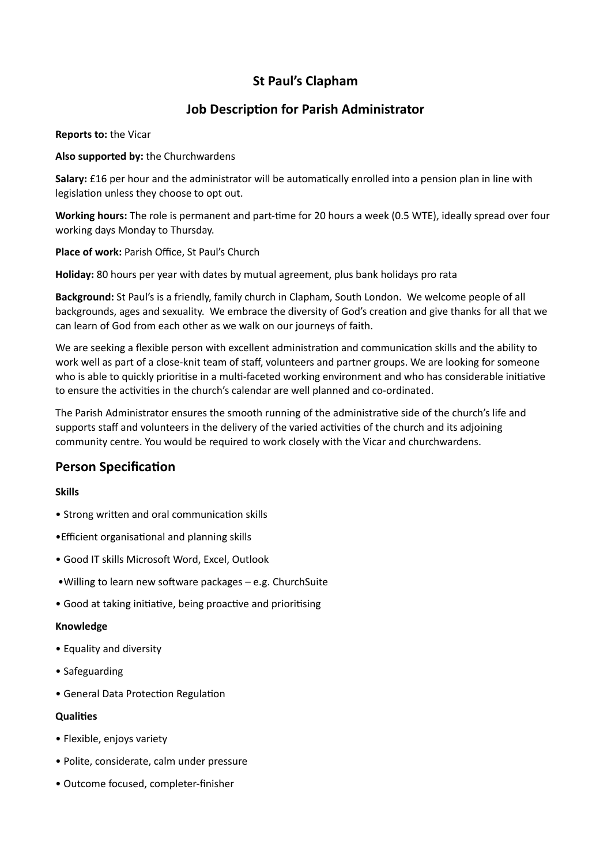# **St Paul's Clapham**

# **Job Description for Parish Administrator**

**Reports to:** the Vicar

**Also supported by:** the Churchwardens

**Salary:** £16 per hour and the administrator will be automatically enrolled into a pension plan in line with legislation unless they choose to opt out.

**Working hours:** The role is permanent and part-time for 20 hours a week (0.5 WTE), ideally spread over four working days Monday to Thursday.

**Place of work:** Parish Office, St Paul's Church

**Holiday:** 80 hours per year with dates by mutual agreement, plus bank holidays pro rata

**Background:** St Paul's is a friendly, family church in Clapham, South London. We welcome people of all backgrounds, ages and sexuality. We embrace the diversity of God's creation and give thanks for all that we can learn of God from each other as we walk on our journeys of faith.

We are seeking a flexible person with excellent administration and communication skills and the ability to work well as part of a close-knit team of staff, volunteers and partner groups. We are looking for someone who is able to quickly prioritise in a multi-faceted working environment and who has considerable initiative to ensure the activities in the church's calendar are well planned and co-ordinated.

The Parish Administrator ensures the smooth running of the administrative side of the church's life and supports staff and volunteers in the delivery of the varied activities of the church and its adjoining community centre. You would be required to work closely with the Vicar and churchwardens.

# **Person Specification**

## **Skills**

- Strong written and oral communication skills
- •Efficient organisational and planning skills
- Good IT skills Microsoft Word, Excel, Outlook
- •Willing to learn new software packages e.g. ChurchSuite
- Good at taking initiative, being proactive and prioritising

#### **Knowledge**

- Equality and diversity
- Safeguarding
- General Data Protection Regulation

#### **Qualities**

- Flexible, enjoys variety
- Polite, considerate, calm under pressure
- Outcome focused, completer-finisher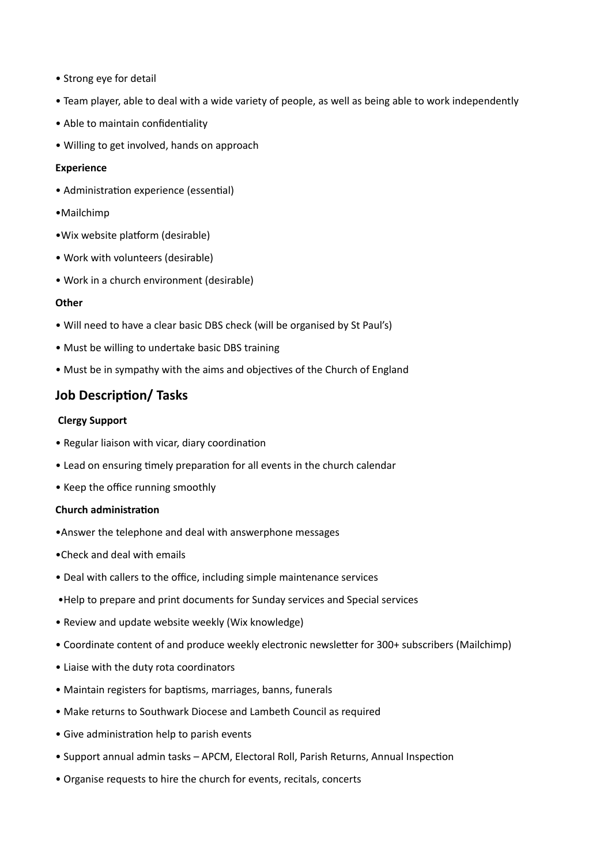- Strong eye for detail
- Team player, able to deal with a wide variety of people, as well as being able to work independently
- Able to maintain confidentiality
- Willing to get involved, hands on approach

#### **Experience**

- Administration experience (essential)
- •Mailchimp
- •Wix website platform (desirable)
- Work with volunteers (desirable)
- Work in a church environment (desirable)

#### **Other**

- Will need to have a clear basic DBS check (will be organised by St Paul's)
- Must be willing to undertake basic DBS training
- Must be in sympathy with the aims and objectives of the Church of England

# **Job Description/ Tasks**

#### **Clergy Support**

- Regular liaison with vicar, diary coordination
- Lead on ensuring timely preparation for all events in the church calendar
- Keep the office running smoothly

#### **Church administration**

- •Answer the telephone and deal with answerphone messages
- •Check and deal with emails
- Deal with callers to the office, including simple maintenance services
- •Help to prepare and print documents for Sunday services and Special services
- Review and update website weekly (Wix knowledge)
- Coordinate content of and produce weekly electronic newsletter for 300+ subscribers (Mailchimp)
- Liaise with the duty rota coordinators
- Maintain registers for baptisms, marriages, banns, funerals
- Make returns to Southwark Diocese and Lambeth Council as required
- Give administration help to parish events
- Support annual admin tasks APCM, Electoral Roll, Parish Returns, Annual Inspection
- Organise requests to hire the church for events, recitals, concerts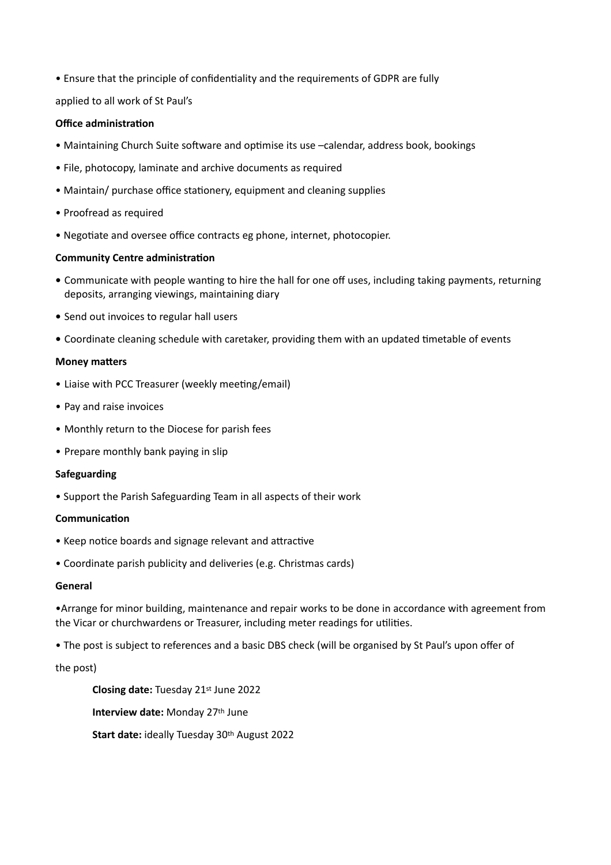• Ensure that the principle of confidentiality and the requirements of GDPR are fully

applied to all work of St Paul's

#### **Office administration**

- Maintaining Church Suite software and optimise its use –calendar, address book, bookings
- File, photocopy, laminate and archive documents as required
- Maintain/ purchase office stationery, equipment and cleaning supplies
- Proofread as required
- Negotiate and oversee office contracts eg phone, internet, photocopier.

#### **Community Centre administration**

- **•** Communicate with people wanting to hire the hall for one off uses, including taking payments, returning deposits, arranging viewings, maintaining diary
- **•** Send out invoices to regular hall users
- **•** Coordinate cleaning schedule with caretaker, providing them with an updated timetable of events

#### **Money matters**

- Liaise with PCC Treasurer (weekly meeting/email)
- Pay and raise invoices
- Monthly return to the Diocese for parish fees
- Prepare monthly bank paying in slip

#### **Safeguarding**

• Support the Parish Safeguarding Team in all aspects of their work

#### **Communication**

- Keep notice boards and signage relevant and attractive
- Coordinate parish publicity and deliveries (e.g. Christmas cards)

#### **General**

•Arrange for minor building, maintenance and repair works to be done in accordance with agreement from the Vicar or churchwardens or Treasurer, including meter readings for utilities.

• The post is subject to references and a basic DBS check (will be organised by St Paul's upon offer of

the post)

**Closing date:** Tuesday 21st June 2022 **Interview date:** Monday 27th June

**Start date:** ideally Tuesday 30th August 2022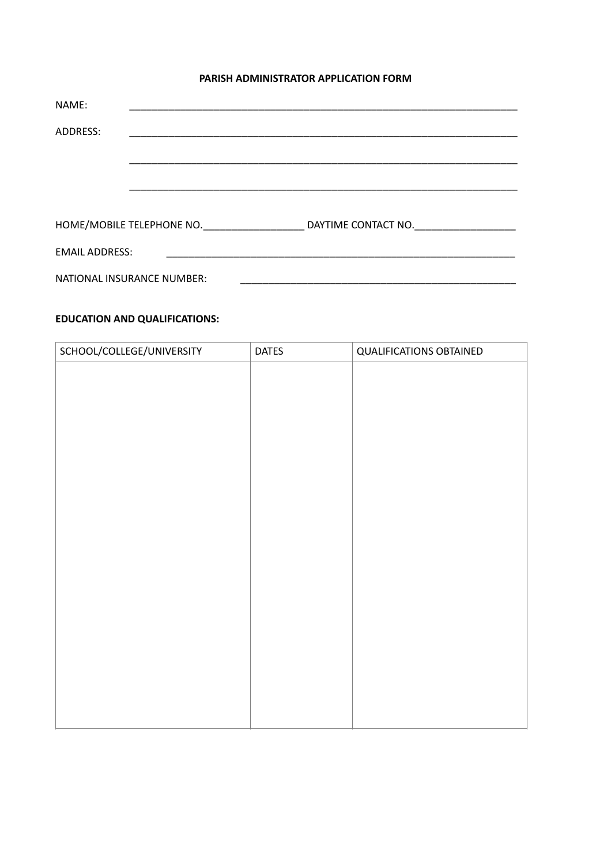#### **PARISH ADMINISTRATOR APPLICATION FORM**

| NAME:                 |                            |                     |
|-----------------------|----------------------------|---------------------|
| ADDRESS:              |                            |                     |
|                       |                            |                     |
|                       |                            |                     |
|                       |                            |                     |
|                       | HOME/MOBILE TELEPHONE NO.  | DAYTIME CONTACT NO. |
| <b>EMAIL ADDRESS:</b> |                            |                     |
|                       | NATIONAL INSURANCE NUMBER: |                     |

## **EDUCATION AND QUALIFICATIONS:**

| SCHOOL/COLLEGE/UNIVERSITY | <b>DATES</b> | <b>QUALIFICATIONS OBTAINED</b> |
|---------------------------|--------------|--------------------------------|
|                           |              |                                |
|                           |              |                                |
|                           |              |                                |
|                           |              |                                |
|                           |              |                                |
|                           |              |                                |
|                           |              |                                |
|                           |              |                                |
|                           |              |                                |
|                           |              |                                |
|                           |              |                                |
|                           |              |                                |
|                           |              |                                |
|                           |              |                                |
|                           |              |                                |
|                           |              |                                |
|                           |              |                                |
|                           |              |                                |
|                           |              |                                |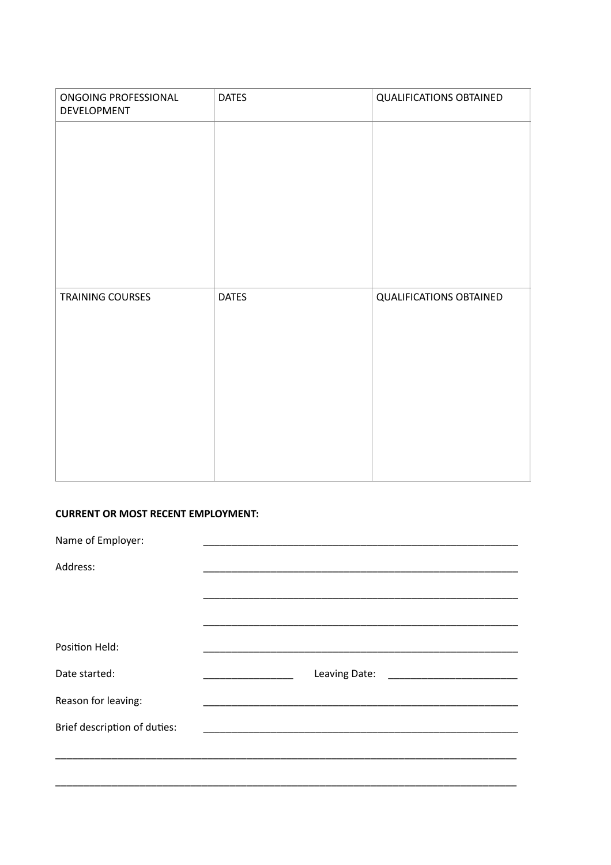| ONGOING PROFESSIONAL<br>DEVELOPMENT | <b>DATES</b> | <b>QUALIFICATIONS OBTAINED</b> |
|-------------------------------------|--------------|--------------------------------|
|                                     |              |                                |
|                                     |              |                                |
|                                     |              |                                |
|                                     |              |                                |
|                                     |              |                                |
| TRAINING COURSES                    | <b>DATES</b> | <b>QUALIFICATIONS OBTAINED</b> |
|                                     |              |                                |
|                                     |              |                                |
|                                     |              |                                |
|                                     |              |                                |
|                                     |              |                                |

#### **CURRENT OR MOST RECENT EMPLOYMENT:**

| Name of Employer:            |                                                                                                                               |
|------------------------------|-------------------------------------------------------------------------------------------------------------------------------|
| Address:                     |                                                                                                                               |
|                              |                                                                                                                               |
|                              |                                                                                                                               |
| Position Held:               |                                                                                                                               |
| Date started:                | Leaving Date: National Assembly Date:                                                                                         |
| Reason for leaving:          |                                                                                                                               |
| Brief description of duties: | <u> 1989 - Johann John Stone, mars et al. 1989 - John Stone, mars et al. 1989 - John Stone, mars et al. 1989 - John Stone</u> |
|                              |                                                                                                                               |
|                              |                                                                                                                               |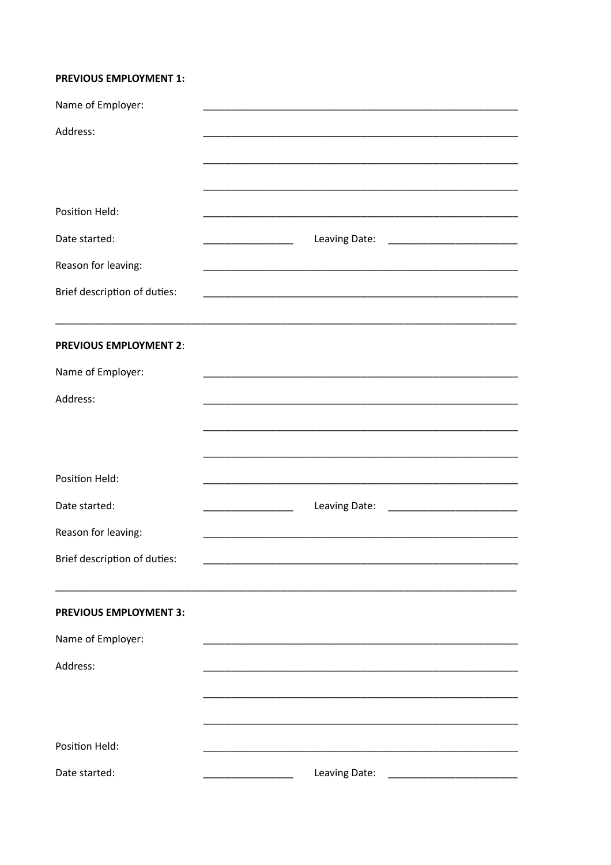#### **PREVIOUS EMPLOYMENT 1:**

| Name of Employer:             |                                                                                                                               |
|-------------------------------|-------------------------------------------------------------------------------------------------------------------------------|
| Address:                      |                                                                                                                               |
|                               |                                                                                                                               |
| Position Held:                |                                                                                                                               |
| Date started:                 |                                                                                                                               |
|                               | Leaving Date:                                                                                                                 |
| Reason for leaving:           |                                                                                                                               |
| Brief description of duties:  |                                                                                                                               |
| <b>PREVIOUS EMPLOYMENT 2:</b> |                                                                                                                               |
| Name of Employer:             | <u> 1989 - Johann John Stone, mars et al. 1989 - John Stone, mars et al. 1989 - John Stone, mars et al. 1989 - John Stone</u> |
| Address:                      |                                                                                                                               |
|                               |                                                                                                                               |
|                               |                                                                                                                               |
| Position Held:                |                                                                                                                               |
| Date started:                 | Leaving Date:                                                                                                                 |
| Reason for leaving:           |                                                                                                                               |
| Brief description of duties:  |                                                                                                                               |
|                               |                                                                                                                               |
| <b>PREVIOUS EMPLOYMENT 3:</b> |                                                                                                                               |
| Name of Employer:             |                                                                                                                               |
| Address:                      |                                                                                                                               |
|                               |                                                                                                                               |
|                               |                                                                                                                               |
| Position Held:                |                                                                                                                               |
| Date started:                 | Leaving Date:                                                                                                                 |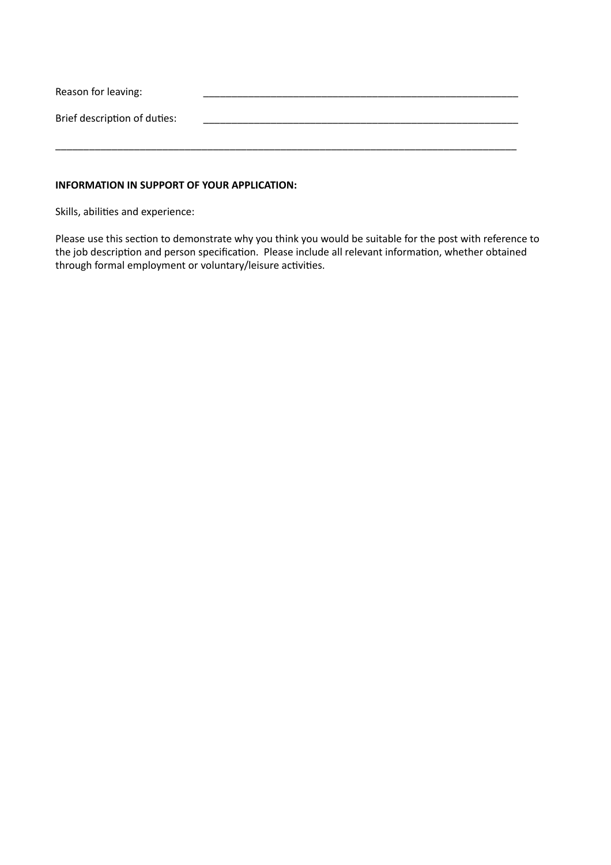| Reason for leaving:          |  |
|------------------------------|--|
| Brief description of duties: |  |
|                              |  |

#### **INFORMATION IN SUPPORT OF YOUR APPLICATION:**

Skills, abilities and experience:

Please use this section to demonstrate why you think you would be suitable for the post with reference to the job description and person specification. Please include all relevant information, whether obtained through formal employment or voluntary/leisure activities.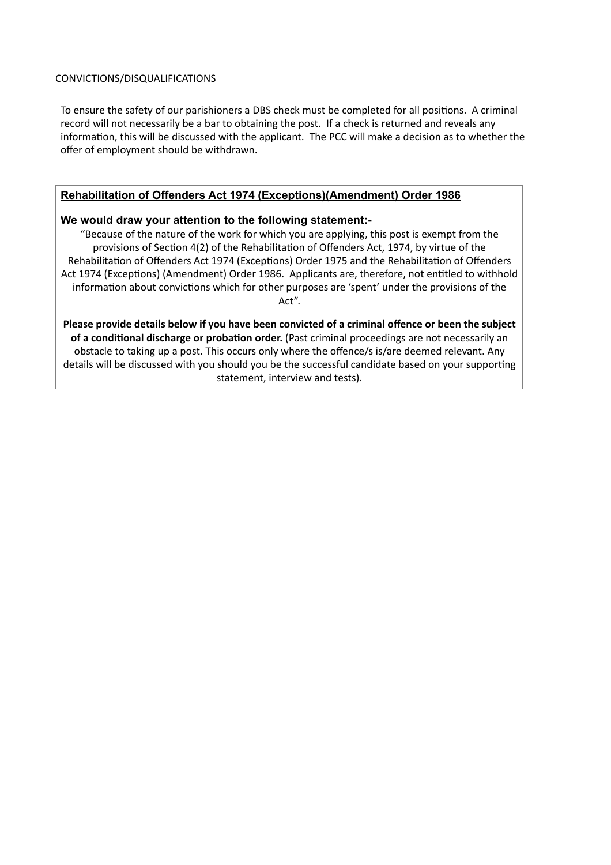#### CONVICTIONS/DISQUALIFICATIONS

To ensure the safety of our parishioners a DBS check must be completed for all positions. A criminal record will not necessarily be a bar to obtaining the post. If a check is returned and reveals any information, this will be discussed with the applicant. The PCC will make a decision as to whether the offer of employment should be withdrawn.

## **Rehabilitation of Offenders Act 1974 (Exceptions)(Amendment) Order 1986**

## **We would draw your attention to the following statement:-**

"Because of the nature of the work for which you are applying, this post is exempt from the provisions of Section 4(2) of the Rehabilitation of Offenders Act, 1974, by virtue of the Rehabilitation of Offenders Act 1974 (Exceptions) Order 1975 and the Rehabilitation of Offenders Act 1974 (Exceptions) (Amendment) Order 1986. Applicants are, therefore, not entitled to withhold information about convictions which for other purposes are 'spent' under the provisions of the Act".

**Please provide details below if you have been convicted of a criminal offence or been the subject of a conditional discharge or probation order.** (Past criminal proceedings are not necessarily an obstacle to taking up a post. This occurs only where the offence/s is/are deemed relevant. Any details will be discussed with you should you be the successful candidate based on your supporting statement, interview and tests).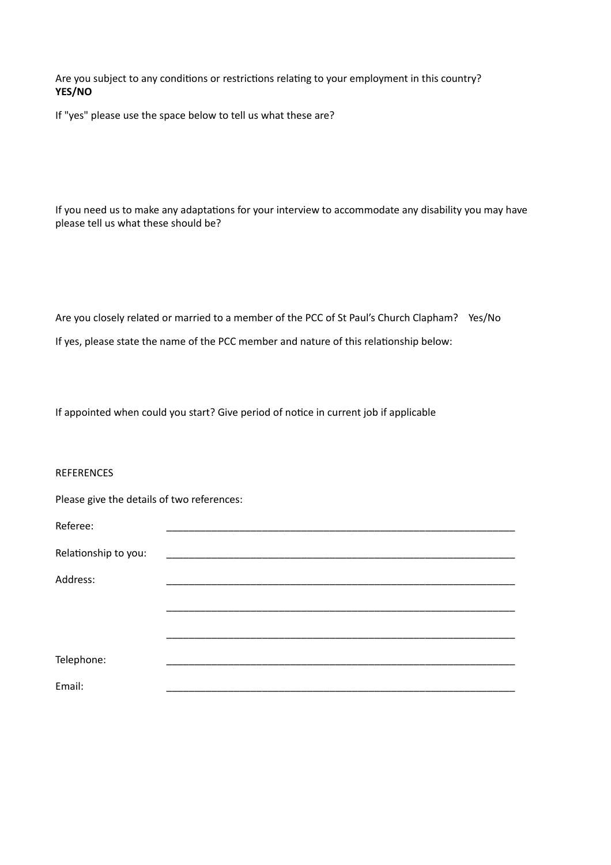Are you subject to any conditions or restrictions relating to your employment in this country? **YES/NO**

If "yes" please use the space below to tell us what these are?

If you need us to make any adaptations for your interview to accommodate any disability you may have please tell us what these should be?

Are you closely related or married to a member of the PCC of St Paul's Church Clapham? Yes/No If yes, please state the name of the PCC member and nature of this relationship below:

If appointed when could you start? Give period of notice in current job if applicable

#### REFERENCES

Please give the details of two references:

| Referee:             |  |  |
|----------------------|--|--|
| Relationship to you: |  |  |
|                      |  |  |
| Address:             |  |  |
|                      |  |  |
|                      |  |  |
|                      |  |  |
|                      |  |  |
| Telephone:           |  |  |
|                      |  |  |
| Email:               |  |  |
|                      |  |  |